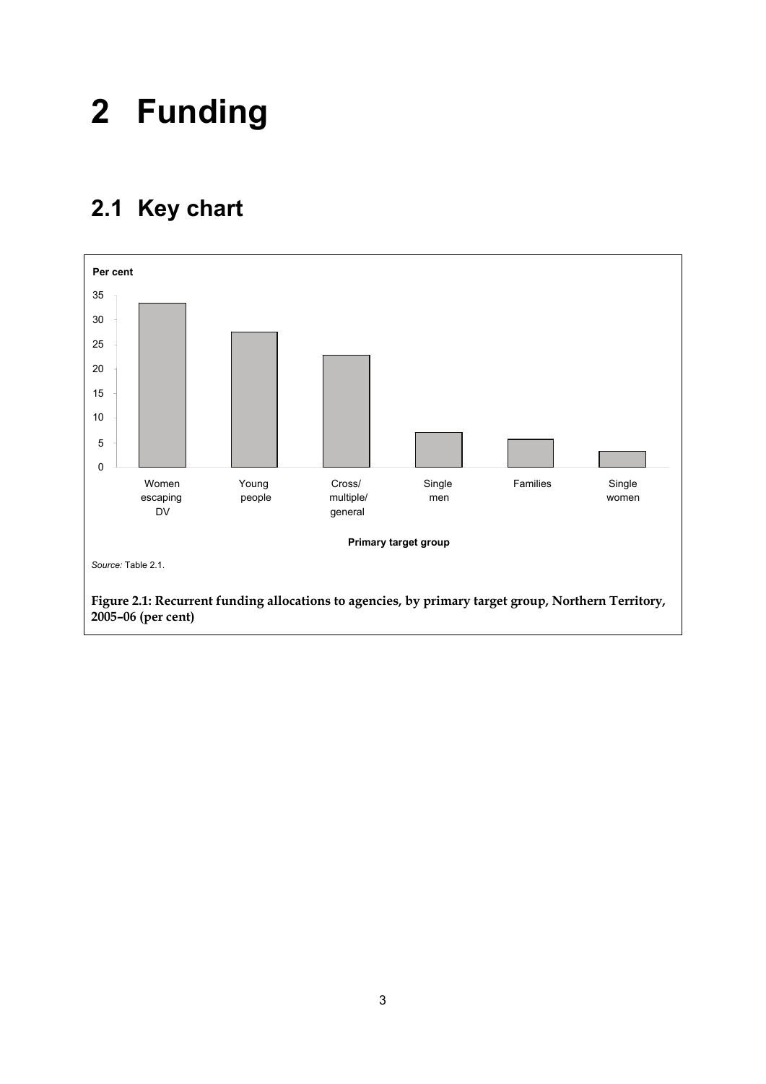## **2 Funding**

## **2.1 Key chart**